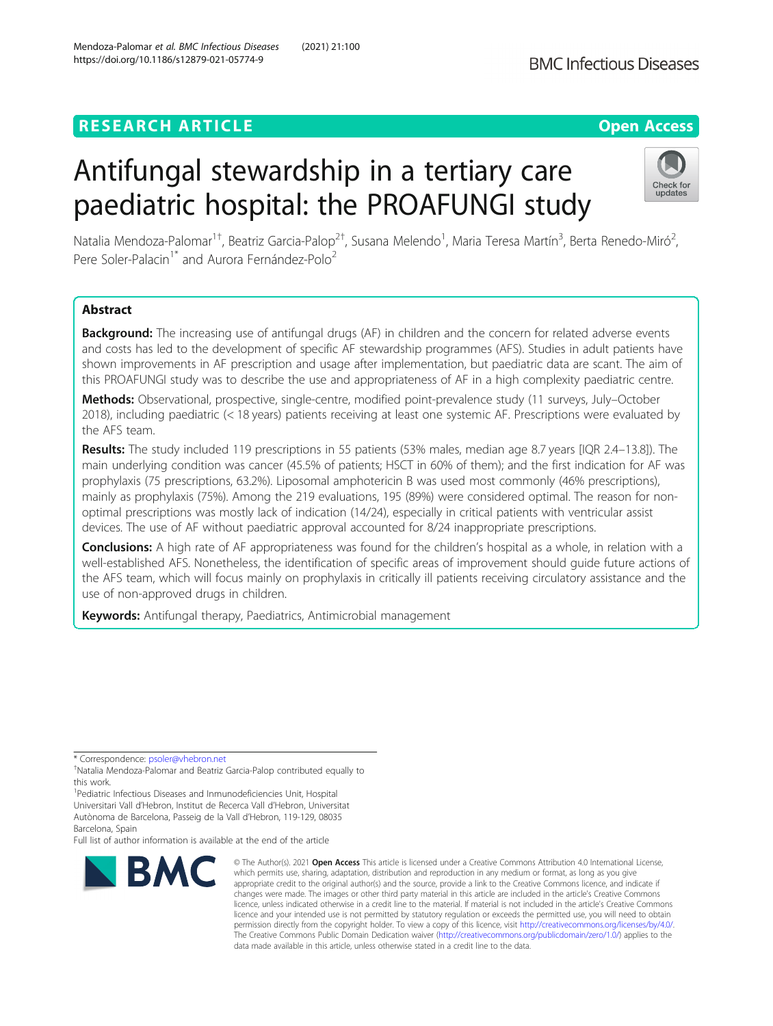## **RESEARCH ARTICLE Example 2014 12:30 The Contract of Contract ACCESS**

https://doi.org/10.1186/s12879-021-05774-9

# Antifungal stewardship in a tertiary care paediatric hospital: the PROAFUNGI study

Natalia Mendoza-Palomar<sup>1†</sup>, Beatriz Garcia-Palop<sup>2†</sup>, Susana Melendo<sup>1</sup>, Maria Teresa Martín<sup>3</sup>, Berta Renedo-Miró<sup>2</sup> , Pere Soler-Palacin<sup>1\*</sup> and Aurora Fernández-Polo<sup>2</sup>

## Abstract

Background: The increasing use of antifungal drugs (AF) in children and the concern for related adverse events and costs has led to the development of specific AF stewardship programmes (AFS). Studies in adult patients have shown improvements in AF prescription and usage after implementation, but paediatric data are scant. The aim of this PROAFUNGI study was to describe the use and appropriateness of AF in a high complexity paediatric centre.

Methods: Observational, prospective, single-centre, modified point-prevalence study (11 surveys, July–October 2018), including paediatric (< 18 years) patients receiving at least one systemic AF. Prescriptions were evaluated by the AFS team.

Results: The study included 119 prescriptions in 55 patients (53% males, median age 8.7 years [IQR 2.4–13.8]). The main underlying condition was cancer (45.5% of patients; HSCT in 60% of them); and the first indication for AF was prophylaxis (75 prescriptions, 63.2%). Liposomal amphotericin B was used most commonly (46% prescriptions), mainly as prophylaxis (75%). Among the 219 evaluations, 195 (89%) were considered optimal. The reason for nonoptimal prescriptions was mostly lack of indication (14/24), especially in critical patients with ventricular assist devices. The use of AF without paediatric approval accounted for 8/24 inappropriate prescriptions.

Conclusions: A high rate of AF appropriateness was found for the children's hospital as a whole, in relation with a well-established AFS. Nonetheless, the identification of specific areas of improvement should guide future actions of the AFS team, which will focus mainly on prophylaxis in critically ill patients receiving circulatory assistance and the use of non-approved drugs in children.

Keywords: Antifungal therapy, Paediatrics, Antimicrobial management

\* Correspondence: [psoler@vhebron.net](mailto:psoler@vhebron.net) †

<sup>1</sup> Pediatric Infectious Diseases and Inmunodeficiencies Unit, Hospital Universitari Vall d'Hebron, Institut de Recerca Vall d'Hebron, Universitat Autònoma de Barcelona, Passeig de la Vall d'Hebron, 119-129, 08035 Barcelona, Spain

Full list of author information is available at the end of the article

**BMC** 

#### © The Author(s), 2021 **Open Access** This article is licensed under a Creative Commons Attribution 4.0 International License, which permits use, sharing, adaptation, distribution and reproduction in any medium or format, as long as you give appropriate credit to the original author(s) and the source, provide a link to the Creative Commons licence, and indicate if changes were made. The images or other third party material in this article are included in the article's Creative Commons licence, unless indicated otherwise in a credit line to the material. If material is not included in the article's Creative Commons licence and your intended use is not permitted by statutory regulation or exceeds the permitted use, you will need to obtain permission directly from the copyright holder. To view a copy of this licence, visit [http://creativecommons.org/licenses/by/4.0/.](http://creativecommons.org/licenses/by/4.0/) The Creative Commons Public Domain Dedication waiver [\(http://creativecommons.org/publicdomain/zero/1.0/](http://creativecommons.org/publicdomain/zero/1.0/)) applies to the data made available in this article, unless otherwise stated in a credit line to the data.

Mendoza-Palomar et al. BMC Infectious Diseases (2021) 21:100





Natalia Mendoza-Palomar and Beatriz Garcia-Palop contributed equally to this work.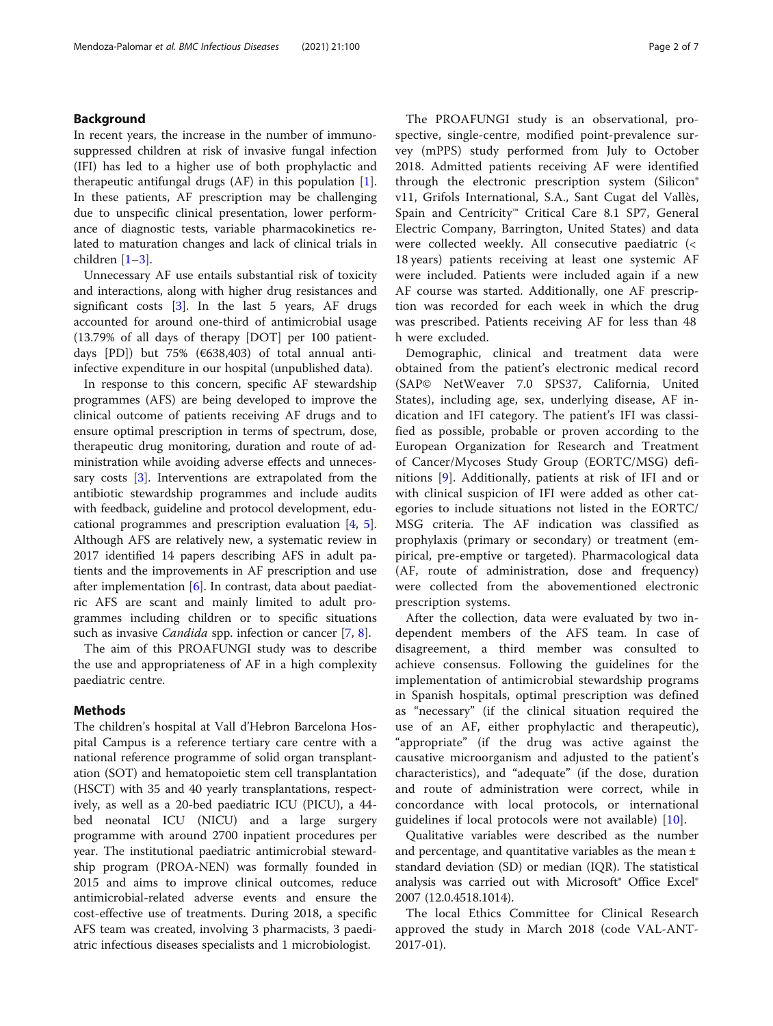#### Background

In recent years, the increase in the number of immunosuppressed children at risk of invasive fungal infection (IFI) has led to a higher use of both prophylactic and therapeutic antifungal drugs (AF) in this population [\[1](#page-5-0)]. In these patients, AF prescription may be challenging due to unspecific clinical presentation, lower performance of diagnostic tests, variable pharmacokinetics related to maturation changes and lack of clinical trials in children [\[1](#page-5-0)–[3](#page-5-0)].

Unnecessary AF use entails substantial risk of toxicity and interactions, along with higher drug resistances and significant costs  $[3]$  $[3]$ . In the last 5 years, AF drugs accounted for around one-third of antimicrobial usage (13.79% of all days of therapy [DOT] per 100 patientdays [PD]) but 75% (€638,403) of total annual antiinfective expenditure in our hospital (unpublished data).

In response to this concern, specific AF stewardship programmes (AFS) are being developed to improve the clinical outcome of patients receiving AF drugs and to ensure optimal prescription in terms of spectrum, dose, therapeutic drug monitoring, duration and route of administration while avoiding adverse effects and unnecessary costs [\[3\]](#page-5-0). Interventions are extrapolated from the antibiotic stewardship programmes and include audits with feedback, guideline and protocol development, educational programmes and prescription evaluation [\[4](#page-5-0), [5](#page-6-0)]. Although AFS are relatively new, a systematic review in 2017 identified 14 papers describing AFS in adult patients and the improvements in AF prescription and use after implementation [[6\]](#page-6-0). In contrast, data about paediatric AFS are scant and mainly limited to adult programmes including children or to specific situations such as invasive *Candida* spp. infection or cancer [[7,](#page-6-0) [8\]](#page-6-0).

The aim of this PROAFUNGI study was to describe the use and appropriateness of AF in a high complexity paediatric centre.

#### Methods

The children's hospital at Vall d'Hebron Barcelona Hospital Campus is a reference tertiary care centre with a national reference programme of solid organ transplantation (SOT) and hematopoietic stem cell transplantation (HSCT) with 35 and 40 yearly transplantations, respectively, as well as a 20-bed paediatric ICU (PICU), a 44 bed neonatal ICU (NICU) and a large surgery programme with around 2700 inpatient procedures per year. The institutional paediatric antimicrobial stewardship program (PROA-NEN) was formally founded in 2015 and aims to improve clinical outcomes, reduce antimicrobial-related adverse events and ensure the cost-effective use of treatments. During 2018, a specific AFS team was created, involving 3 pharmacists, 3 paediatric infectious diseases specialists and 1 microbiologist.

The PROAFUNGI study is an observational, prospective, single-centre, modified point-prevalence survey (mPPS) study performed from July to October 2018. Admitted patients receiving AF were identified through the electronic prescription system (Silicon® v11, Grifols International, S.A., Sant Cugat del Vallès, Spain and Centricity™ Critical Care 8.1 SP7, General Electric Company, Barrington, United States) and data were collected weekly. All consecutive paediatric (< 18 years) patients receiving at least one systemic AF were included. Patients were included again if a new AF course was started. Additionally, one AF prescription was recorded for each week in which the drug was prescribed. Patients receiving AF for less than 48 h were excluded.

Demographic, clinical and treatment data were obtained from the patient's electronic medical record (SAP© NetWeaver 7.0 SPS37, California, United States), including age, sex, underlying disease, AF indication and IFI category. The patient's IFI was classified as possible, probable or proven according to the European Organization for Research and Treatment of Cancer/Mycoses Study Group (EORTC/MSG) definitions [[9\]](#page-6-0). Additionally, patients at risk of IFI and or with clinical suspicion of IFI were added as other categories to include situations not listed in the EORTC/ MSG criteria. The AF indication was classified as prophylaxis (primary or secondary) or treatment (empirical, pre-emptive or targeted). Pharmacological data (AF, route of administration, dose and frequency) were collected from the abovementioned electronic prescription systems.

After the collection, data were evaluated by two independent members of the AFS team. In case of disagreement, a third member was consulted to achieve consensus. Following the guidelines for the implementation of antimicrobial stewardship programs in Spanish hospitals, optimal prescription was defined as "necessary" (if the clinical situation required the use of an AF, either prophylactic and therapeutic), "appropriate" (if the drug was active against the causative microorganism and adjusted to the patient's characteristics), and "adequate" (if the dose, duration and route of administration were correct, while in concordance with local protocols, or international guidelines if local protocols were not available) [[10\]](#page-6-0).

Qualitative variables were described as the number and percentage, and quantitative variables as the mean  $\pm$ standard deviation (SD) or median (IQR). The statistical analysis was carried out with Microsoft<sup>®</sup> Office Excel<sup>®</sup> 2007 (12.0.4518.1014).

The local Ethics Committee for Clinical Research approved the study in March 2018 (code VAL-ANT-2017-01).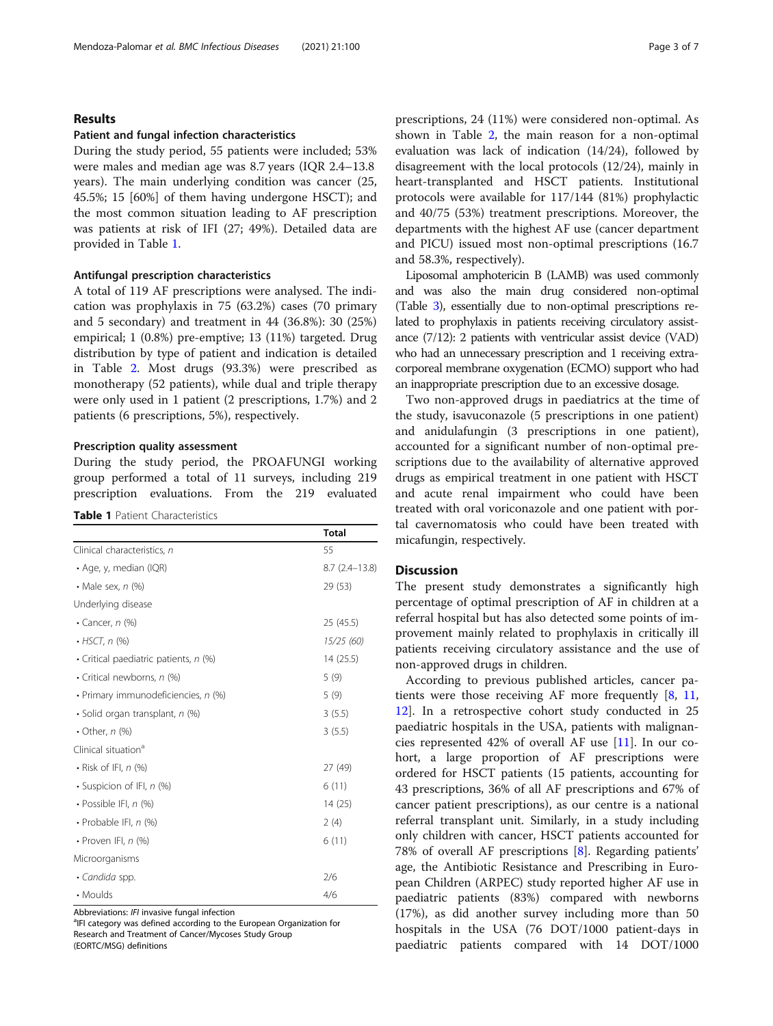#### Results

#### Patient and fungal infection characteristics

During the study period, 55 patients were included; 53% were males and median age was 8.7 years (IQR 2.4–13.8 years). The main underlying condition was cancer (25, 45.5%; 15 [60%] of them having undergone HSCT); and the most common situation leading to AF prescription was patients at risk of IFI (27; 49%). Detailed data are provided in Table 1.

#### Antifungal prescription characteristics

A total of 119 AF prescriptions were analysed. The indication was prophylaxis in 75 (63.2%) cases (70 primary and 5 secondary) and treatment in 44 (36.8%): 30 (25%) empirical; 1 (0.8%) pre-emptive; 13 (11%) targeted. Drug distribution by type of patient and indication is detailed in Table [2.](#page-3-0) Most drugs (93.3%) were prescribed as monotherapy (52 patients), while dual and triple therapy were only used in 1 patient (2 prescriptions, 1.7%) and 2 patients (6 prescriptions, 5%), respectively.

#### Prescription quality assessment

During the study period, the PROAFUNGI working group performed a total of 11 surveys, including 219 prescription evaluations. From the 219 evaluated

#### Table 1 Patient Characteristics

|                                       | <b>Total</b>      |  |  |
|---------------------------------------|-------------------|--|--|
| Clinical characteristics, n           | 55                |  |  |
| • Age, y, median (IQR)                | $8.7(2.4 - 13.8)$ |  |  |
| • Male sex, $n$ (%)                   | 29 (53)           |  |  |
| Underlying disease                    |                   |  |  |
| • Cancer, $n$ (%)                     | 25(45.5)          |  |  |
| $\cdot$ HSCT, n $(\%)$                | 15/25 (60)        |  |  |
| • Critical paediatric patients, n (%) | 14(25.5)          |  |  |
| • Critical newborns, n (%)            | 5(9)              |  |  |
| · Primary immunodeficiencies, n (%)   | 5(9)              |  |  |
| • Solid organ transplant, n (%)       | 3(5.5)            |  |  |
| • Other, $n$ (%)                      | 3(5.5)            |  |  |
| Clinical situation <sup>a</sup>       |                   |  |  |
| $\cdot$ Risk of IFI, n (%)            | 27 (49)           |  |  |
| • Suspicion of IFI, n (%)             | 6(11)             |  |  |
| $\cdot$ Possible IFI, n (%)           | 14 (25)           |  |  |
| $\cdot$ Probable IFI, n $(\%)$        | 2(4)              |  |  |
| • Proven IFI, $n$ (%)                 | 6(11)             |  |  |
| Microorganisms                        |                   |  |  |
| · Candida spp.                        | 2/6               |  |  |
| • Moulds                              | 4/6               |  |  |

Abbreviations: IFI invasive fungal infection

<sup>a</sup>IFI category was defined according to the European Organization for Research and Treatment of Cancer/Mycoses Study Group (EORTC/MSG) definitions

prescriptions, 24 (11%) were considered non-optimal. As shown in Table [2](#page-3-0), the main reason for a non-optimal evaluation was lack of indication (14/24), followed by disagreement with the local protocols (12/24), mainly in heart-transplanted and HSCT patients. Institutional protocols were available for 117/144 (81%) prophylactic and 40/75 (53%) treatment prescriptions. Moreover, the departments with the highest AF use (cancer department and PICU) issued most non-optimal prescriptions (16.7 and 58.3%, respectively).

Liposomal amphotericin B (LAMB) was used commonly and was also the main drug considered non-optimal (Table [3](#page-4-0)), essentially due to non-optimal prescriptions related to prophylaxis in patients receiving circulatory assistance (7/12): 2 patients with ventricular assist device (VAD) who had an unnecessary prescription and 1 receiving extracorporeal membrane oxygenation (ECMO) support who had an inappropriate prescription due to an excessive dosage.

Two non-approved drugs in paediatrics at the time of the study, isavuconazole (5 prescriptions in one patient) and anidulafungin (3 prescriptions in one patient), accounted for a significant number of non-optimal prescriptions due to the availability of alternative approved drugs as empirical treatment in one patient with HSCT and acute renal impairment who could have been treated with oral voriconazole and one patient with portal cavernomatosis who could have been treated with micafungin, respectively.

#### **Discussion**

The present study demonstrates a significantly high percentage of optimal prescription of AF in children at a referral hospital but has also detected some points of improvement mainly related to prophylaxis in critically ill patients receiving circulatory assistance and the use of non-approved drugs in children.

According to previous published articles, cancer patients were those receiving AF more frequently [[8,](#page-6-0) [11](#page-6-0), [12\]](#page-6-0). In a retrospective cohort study conducted in 25 paediatric hospitals in the USA, patients with malignancies represented 42% of overall AF use [[11\]](#page-6-0). In our cohort, a large proportion of AF prescriptions were ordered for HSCT patients (15 patients, accounting for 43 prescriptions, 36% of all AF prescriptions and 67% of cancer patient prescriptions), as our centre is a national referral transplant unit. Similarly, in a study including only children with cancer, HSCT patients accounted for 78% of overall AF prescriptions [\[8\]](#page-6-0). Regarding patients' age, the Antibiotic Resistance and Prescribing in European Children (ARPEC) study reported higher AF use in paediatric patients (83%) compared with newborns (17%), as did another survey including more than 50 hospitals in the USA (76 DOT/1000 patient-days in paediatric patients compared with 14 DOT/1000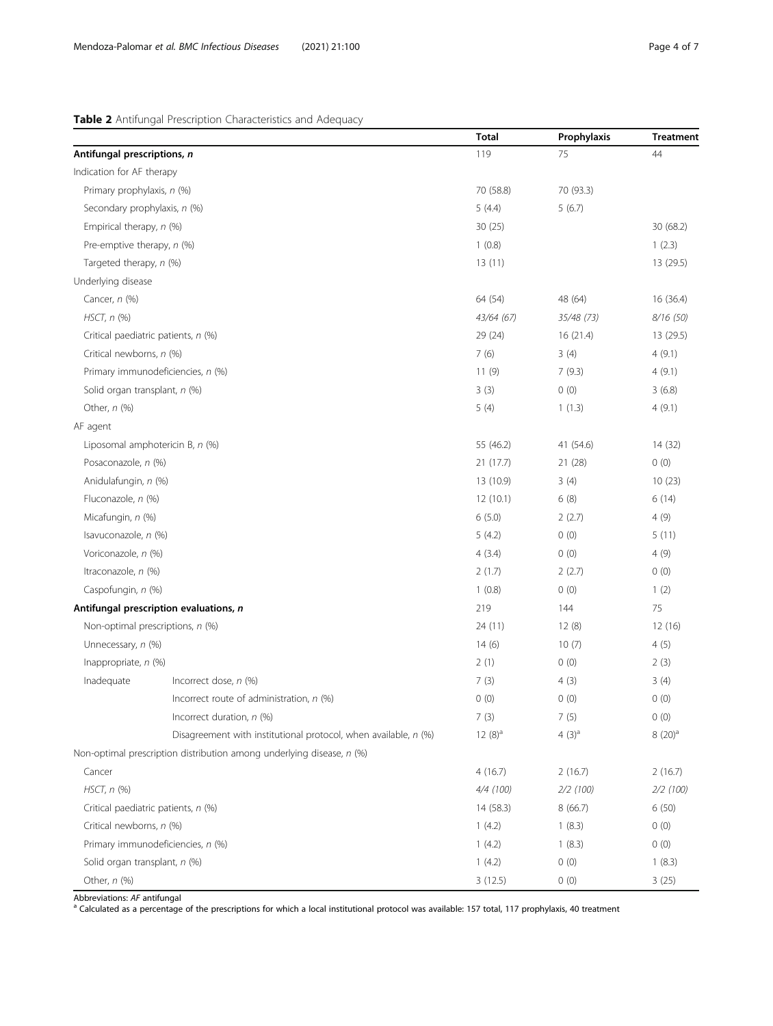## <span id="page-3-0"></span>Table 2 Antifungal Prescription Characteristics and Adequacy

|                                     |                                                                       | <b>Total</b>     | Prophylaxis | <b>Treatment</b> |
|-------------------------------------|-----------------------------------------------------------------------|------------------|-------------|------------------|
| Antifungal prescriptions, n         |                                                                       | 119              | 75          | 44               |
| Indication for AF therapy           |                                                                       |                  |             |                  |
| Primary prophylaxis, n (%)          |                                                                       | 70 (58.8)        | 70 (93.3)   |                  |
| Secondary prophylaxis, n (%)        |                                                                       | 5(4.4)           | 5(6.7)      |                  |
| Empirical therapy, n (%)            |                                                                       | 30(25)           |             | 30 (68.2)        |
| Pre-emptive therapy, n (%)          |                                                                       | 1(0.8)           |             | 1(2.3)           |
| Targeted therapy, n (%)             |                                                                       | 13(11)           |             | 13 (29.5)        |
| Underlying disease                  |                                                                       |                  |             |                  |
| Cancer, n (%)                       |                                                                       | 64 (54)          | 48 (64)     | 16 (36.4)        |
| $HSCT$ , $n$ (%)                    |                                                                       | 43/64 (67)       | 35/48 (73)  | 8/16(50)         |
| Critical paediatric patients, n (%) |                                                                       | 29 (24)          | 16 (21.4)   | 13 (29.5)        |
| Critical newborns, n (%)            |                                                                       | 7(6)             | 3(4)        | 4(9.1)           |
|                                     | Primary immunodeficiencies, n (%)                                     | 11(9)            | 7(9.3)      | 4(9.1)           |
| Solid organ transplant, n (%)       |                                                                       | 3(3)             | 0(0)        | 3(6.8)           |
| Other, $n$ (%)                      |                                                                       | 5(4)             | 1(1.3)      | 4(9.1)           |
| AF agent                            |                                                                       |                  |             |                  |
| Liposomal amphotericin B, n (%)     |                                                                       | 55 (46.2)        | 41 (54.6)   | 14 (32)          |
| Posaconazole, n (%)                 |                                                                       | 21(17.7)         | 21(28)      |                  |
| Anidulafungin, n (%)                |                                                                       | 13 (10.9)        | 3(4)        | 10(23)           |
| Fluconazole, n (%)                  |                                                                       | 12(10.1)<br>6(8) |             | 6(14)            |
| Micafungin, n (%)                   |                                                                       | 6(5.0)           | 2(2.7)      | 4(9)             |
| Isavuconazole, n (%)                |                                                                       | 5(4.2)           | 0(0)        | 5(11)            |
| Voriconazole, n (%)                 |                                                                       | 4(3.4)           | 0(0)        | 4(9)             |
| Itraconazole, n (%)                 |                                                                       | 2(1.7)           | 2(2.7)      | 0(0)             |
| Caspofungin, n (%)                  |                                                                       | 1(0.8)           | 0(0)        | 1(2)             |
|                                     | Antifungal prescription evaluations, n                                | 219              | 144         | 75               |
| Non-optimal prescriptions, n (%)    |                                                                       | 24 (11)          | 12(8)       | 12 (16)          |
| Unnecessary, n (%)                  |                                                                       | 14(6)            | 10(7)       | 4(5)             |
| Inappropriate, n (%)                |                                                                       | 2(1)             | 0(0)        | 2(3)             |
| Inadequate                          | Incorrect dose, n (%)                                                 | 7(3)             | 4(3)        | 3(4)             |
|                                     | Incorrect route of administration, $n$ (%)                            | 0(0)             | 0(0)        | 0(0)             |
|                                     | Incorrect duration, $n$ (%)                                           | 7(3)             | 7(5)        | 0(0)             |
|                                     | Disagreement with institutional protocol, when available, n (%)       | $12(8)^a$        | 4 $(3)^a$   | $8(20)^a$        |
|                                     | Non-optimal prescription distribution among underlying disease, n (%) |                  |             |                  |
| Cancer                              |                                                                       | 4(16.7)          | 2(16.7)     | 2(16.7)          |
| $HSCT, n$ (%)                       |                                                                       | 4/4 (100)        | 2/2(100)    | 2/2(100)         |
| Critical paediatric patients, n (%) |                                                                       | 14 (58.3)        | 8(66.7)     | 6(50)            |
| Critical newborns, n (%)            |                                                                       | 1(4.2)           | 1(8.3)      | 0(0)             |
|                                     | Primary immunodeficiencies, n (%)                                     | 1(4.2)           | 1(8.3)      | 0(0)             |
| Solid organ transplant, n (%)       |                                                                       | 1(4.2)           | 1(8.3)      |                  |

Abbreviations: AF antifungal<br><sup>a</sup> Calculated as a percentage of the prescriptions for which a local institutional protocol was available: 157 total, 117 prophylaxis, 40 treatment

Other,  $n$  (%) 3 (12.5) 0 (0) 3 (25)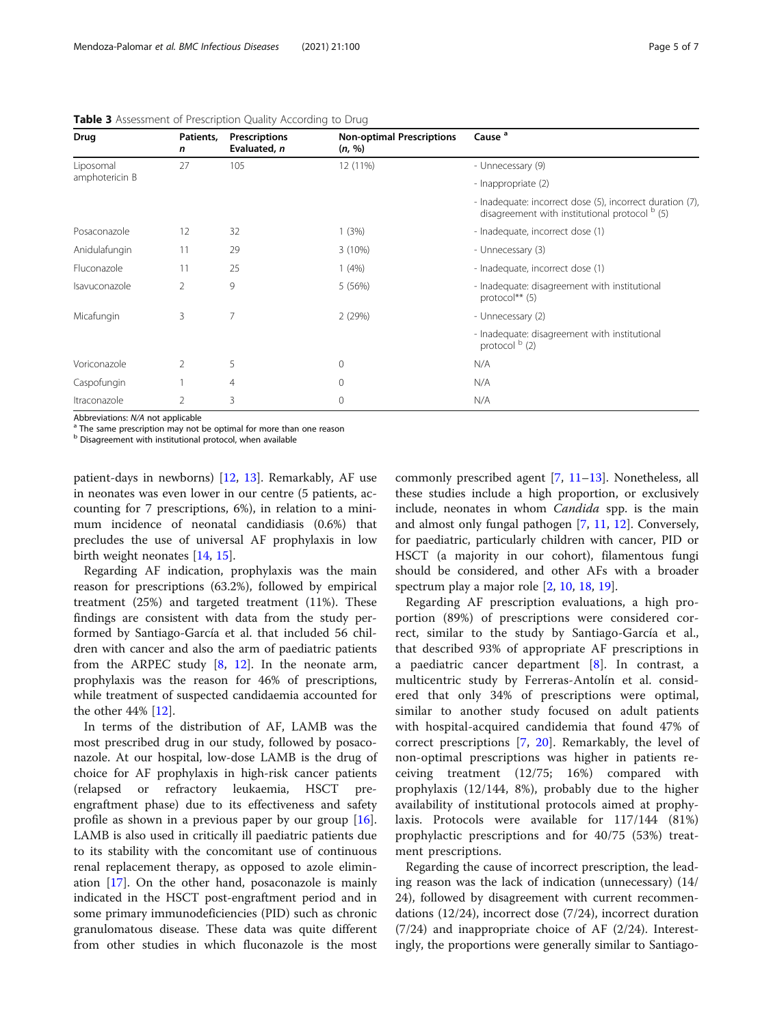| Drug           | Patients,<br>$\mathsf{n}$ | Prescriptions<br>Evaluated, n | <b>Non-optimal Prescriptions</b><br>(n, %) | Cause <sup>a</sup>                                                                                          |
|----------------|---------------------------|-------------------------------|--------------------------------------------|-------------------------------------------------------------------------------------------------------------|
| Liposomal      | 27                        | 105                           | 12 (11%)                                   | - Unnecessary (9)                                                                                           |
| amphotericin B |                           |                               |                                            | - Inappropriate (2)                                                                                         |
|                |                           |                               |                                            | - Inadequate: incorrect dose (5), incorrect duration (7),<br>disagreement with institutional protocol b (5) |
| Posaconazole   | 12                        | 32                            | 1(3%)                                      | - Inadequate, incorrect dose (1)                                                                            |
| Anidulafungin  | 11                        | 29                            | $3(10\%)$                                  | - Unnecessary (3)                                                                                           |
| Fluconazole    | 11                        | 25                            | 1(4%)                                      | - Inadequate, incorrect dose (1)                                                                            |
| Isavuconazole  | $\overline{2}$            | 9                             | 5 (56%)                                    | - Inadequate: disagreement with institutional<br>protocol** $(5)$                                           |
| Micafungin     | 3                         | 7                             | 2(29%)                                     | - Unnecessary (2)                                                                                           |
|                |                           |                               |                                            | - Inadequate: disagreement with institutional<br>protocol $b$ (2)                                           |
| Voriconazole   | $\mathcal{P}$             | 5                             | 0                                          | N/A                                                                                                         |
| Caspofungin    |                           | 4                             | 0                                          | N/A                                                                                                         |
| Itraconazole   | 2                         | 3                             | $\Omega$                                   | N/A                                                                                                         |

<span id="page-4-0"></span>Table 3 Assessment of Prescription Quality According to Drug

Abbreviations:  $N/A$  not applicable<br><sup>a</sup> The same prescription may not be optimal for more than one reason

 $<sup>b</sup>$  Disagreement with institutional protocol, when available</sup>

patient-days in newborns) [\[12,](#page-6-0) [13\]](#page-6-0). Remarkably, AF use in neonates was even lower in our centre (5 patients, accounting for 7 prescriptions, 6%), in relation to a minimum incidence of neonatal candidiasis (0.6%) that precludes the use of universal AF prophylaxis in low birth weight neonates [[14](#page-6-0), [15](#page-6-0)].

Regarding AF indication, prophylaxis was the main reason for prescriptions (63.2%), followed by empirical treatment (25%) and targeted treatment (11%). These findings are consistent with data from the study performed by Santiago-García et al. that included 56 children with cancer and also the arm of paediatric patients from the ARPEC study [[8,](#page-6-0) [12](#page-6-0)]. In the neonate arm, prophylaxis was the reason for 46% of prescriptions, while treatment of suspected candidaemia accounted for the other 44% [[12\]](#page-6-0).

In terms of the distribution of AF, LAMB was the most prescribed drug in our study, followed by posaconazole. At our hospital, low-dose LAMB is the drug of choice for AF prophylaxis in high-risk cancer patients (relapsed or refractory leukaemia, HSCT preengraftment phase) due to its effectiveness and safety profile as shown in a previous paper by our group [\[16](#page-6-0)]. LAMB is also used in critically ill paediatric patients due to its stability with the concomitant use of continuous renal replacement therapy, as opposed to azole elimination [\[17\]](#page-6-0). On the other hand, posaconazole is mainly indicated in the HSCT post-engraftment period and in some primary immunodeficiencies (PID) such as chronic granulomatous disease. These data was quite different from other studies in which fluconazole is the most

commonly prescribed agent [\[7](#page-6-0), [11](#page-6-0)–[13\]](#page-6-0). Nonetheless, all these studies include a high proportion, or exclusively include, neonates in whom Candida spp. is the main and almost only fungal pathogen [\[7](#page-6-0), [11,](#page-6-0) [12\]](#page-6-0). Conversely, for paediatric, particularly children with cancer, PID or HSCT (a majority in our cohort), filamentous fungi should be considered, and other AFs with a broader spectrum play a major role [\[2](#page-5-0), [10](#page-6-0), [18,](#page-6-0) [19\]](#page-6-0).

Regarding AF prescription evaluations, a high proportion (89%) of prescriptions were considered correct, similar to the study by Santiago-García et al., that described 93% of appropriate AF prescriptions in a paediatric cancer department [\[8](#page-6-0)]. In contrast, a multicentric study by Ferreras-Antolín et al. considered that only 34% of prescriptions were optimal, similar to another study focused on adult patients with hospital-acquired candidemia that found 47% of correct prescriptions [[7](#page-6-0), [20\]](#page-6-0). Remarkably, the level of non-optimal prescriptions was higher in patients receiving treatment (12/75; 16%) compared with prophylaxis (12/144, 8%), probably due to the higher availability of institutional protocols aimed at prophylaxis. Protocols were available for 117/144 (81%) prophylactic prescriptions and for 40/75 (53%) treatment prescriptions.

Regarding the cause of incorrect prescription, the leading reason was the lack of indication (unnecessary) (14/ 24), followed by disagreement with current recommendations (12/24), incorrect dose (7/24), incorrect duration (7/24) and inappropriate choice of AF (2/24). Interestingly, the proportions were generally similar to Santiago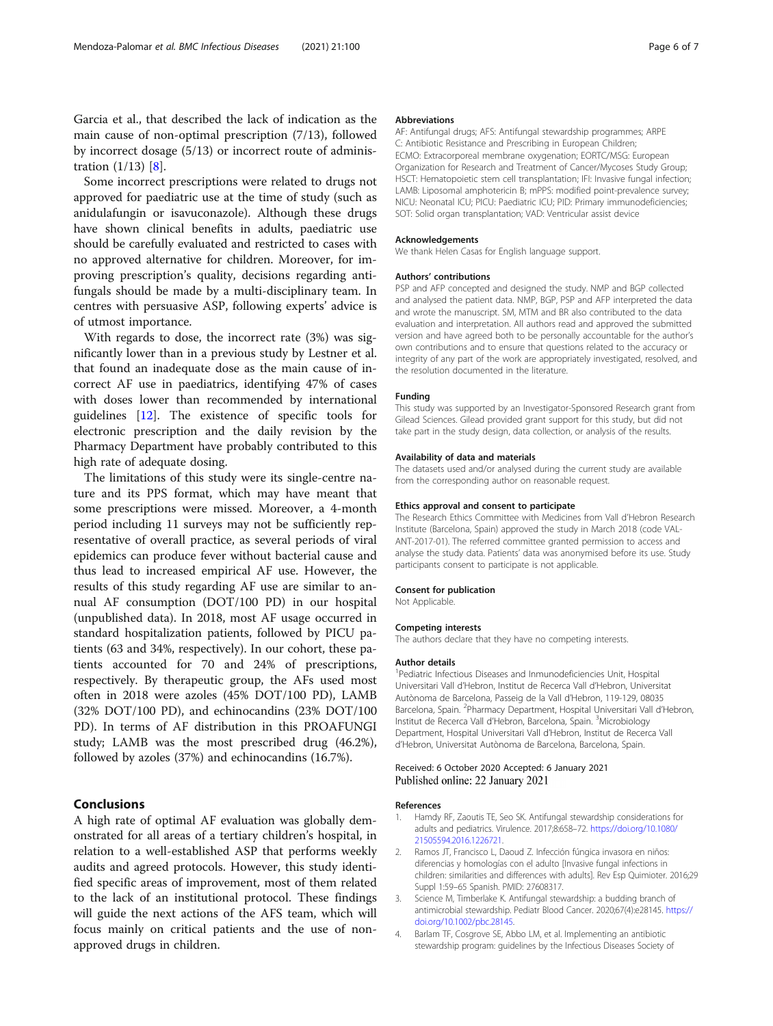<span id="page-5-0"></span>Garcia et al., that described the lack of indication as the main cause of non-optimal prescription (7/13), followed by incorrect dosage (5/13) or incorrect route of administration (1/13) [[8\]](#page-6-0).

Some incorrect prescriptions were related to drugs not approved for paediatric use at the time of study (such as anidulafungin or isavuconazole). Although these drugs have shown clinical benefits in adults, paediatric use should be carefully evaluated and restricted to cases with no approved alternative for children. Moreover, for improving prescription's quality, decisions regarding antifungals should be made by a multi-disciplinary team. In centres with persuasive ASP, following experts' advice is of utmost importance.

With regards to dose, the incorrect rate (3%) was significantly lower than in a previous study by Lestner et al. that found an inadequate dose as the main cause of incorrect AF use in paediatrics, identifying 47% of cases with doses lower than recommended by international guidelines [\[12\]](#page-6-0). The existence of specific tools for electronic prescription and the daily revision by the Pharmacy Department have probably contributed to this high rate of adequate dosing.

The limitations of this study were its single-centre nature and its PPS format, which may have meant that some prescriptions were missed. Moreover, a 4-month period including 11 surveys may not be sufficiently representative of overall practice, as several periods of viral epidemics can produce fever without bacterial cause and thus lead to increased empirical AF use. However, the results of this study regarding AF use are similar to annual AF consumption (DOT/100 PD) in our hospital (unpublished data). In 2018, most AF usage occurred in standard hospitalization patients, followed by PICU patients (63 and 34%, respectively). In our cohort, these patients accounted for 70 and 24% of prescriptions, respectively. By therapeutic group, the AFs used most often in 2018 were azoles (45% DOT/100 PD), LAMB (32% DOT/100 PD), and echinocandins (23% DOT/100 PD). In terms of AF distribution in this PROAFUNGI study; LAMB was the most prescribed drug (46.2%), followed by azoles (37%) and echinocandins (16.7%).

#### Conclusions

A high rate of optimal AF evaluation was globally demonstrated for all areas of a tertiary children's hospital, in relation to a well-established ASP that performs weekly audits and agreed protocols. However, this study identified specific areas of improvement, most of them related to the lack of an institutional protocol. These findings will guide the next actions of the AFS team, which will focus mainly on critical patients and the use of nonapproved drugs in children.

#### Abbreviations

AF: Antifungal drugs; AFS: Antifungal stewardship programmes; ARPE C: Antibiotic Resistance and Prescribing in European Children; ECMO: Extracorporeal membrane oxygenation; EORTC/MSG: European Organization for Research and Treatment of Cancer/Mycoses Study Group; HSCT: Hematopoietic stem cell transplantation; IFI: Invasive fungal infection; LAMB: Liposomal amphotericin B; mPPS: modified point-prevalence survey; NICU: Neonatal ICU; PICU: Paediatric ICU; PID: Primary immunodeficiencies; SOT: Solid organ transplantation; VAD: Ventricular assist device

#### Acknowledgements

We thank Helen Casas for English language support.

#### Authors' contributions

PSP and AFP concepted and designed the study. NMP and BGP collected and analysed the patient data. NMP, BGP, PSP and AFP interpreted the data and wrote the manuscript. SM, MTM and BR also contributed to the data evaluation and interpretation. All authors read and approved the submitted version and have agreed both to be personally accountable for the author's own contributions and to ensure that questions related to the accuracy or integrity of any part of the work are appropriately investigated, resolved, and the resolution documented in the literature.

#### Funding

This study was supported by an Investigator-Sponsored Research grant from Gilead Sciences. Gilead provided grant support for this study, but did not take part in the study design, data collection, or analysis of the results.

#### Availability of data and materials

The datasets used and/or analysed during the current study are available from the corresponding author on reasonable request.

#### Ethics approval and consent to participate

The Research Ethics Committee with Medicines from Vall d'Hebron Research Institute (Barcelona, Spain) approved the study in March 2018 (code VAL-ANT-2017-01). The referred committee granted permission to access and analyse the study data. Patients' data was anonymised before its use. Study participants consent to participate is not applicable.

#### Consent for publication

Not Applicable.

#### Competing interests

The authors declare that they have no competing interests.

#### Author details

<sup>1</sup> Pediatric Infectious Diseases and Inmunodeficiencies Unit, Hospital Universitari Vall d'Hebron, Institut de Recerca Vall d'Hebron, Universitat Autònoma de Barcelona, Passeig de la Vall d'Hebron, 119-129, 08035 Barcelona, Spain. <sup>2</sup>Pharmacy Department, Hospital Universitari Vall d'Hebron, Institut de Recerca Vall d'Hebron, Barcelona, Spain. <sup>3</sup>Microbiology Department, Hospital Universitari Vall d'Hebron, Institut de Recerca Vall d'Hebron, Universitat Autònoma de Barcelona, Barcelona, Spain.

#### Received: 6 October 2020 Accepted: 6 January 2021 Published online: 22 January 2021

#### References

- Hamdy RF, Zaoutis TE, Seo SK. Antifungal stewardship considerations for adults and pediatrics. Virulence. 2017;8:658–72. [https://doi.org/10.1080/](https://doi.org/10.1080/21505594.2016.1226721) [21505594.2016.1226721.](https://doi.org/10.1080/21505594.2016.1226721)
- 2. Ramos JT, Francisco L, Daoud Z. Infección fúngica invasora en niños: diferencias y homologías con el adulto [Invasive fungal infections in children: similarities and differences with adults]. Rev Esp Quimioter. 2016;29 Suppl 1:59–65 Spanish. PMID: 27608317.
- 3. Science M, Timberlake K. Antifungal stewardship: a budding branch of antimicrobial stewardship. Pediatr Blood Cancer. 2020;67(4):e28145. [https://](https://doi.org/10.1002/pbc.28145) [doi.org/10.1002/pbc.28145](https://doi.org/10.1002/pbc.28145).
- 4. Barlam TF, Cosgrove SE, Abbo LM, et al. Implementing an antibiotic stewardship program: guidelines by the Infectious Diseases Society of